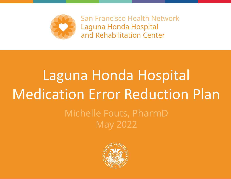

San Francisco Health Network Laguna Honda Hospital and Rehabilitation Center

# Laguna Honda Hospital Medication Error Reduction Plan

#### Michelle Fouts, PharmD May 2022

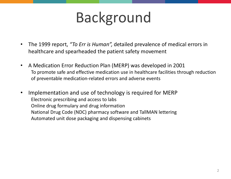# Background

- The 1999 report, *"To Err is Human",* detailed prevalence of medical errors in healthcare and spearheaded the patient safety movement
- A Medication Error Reduction Plan (MERP) was developed in 2001 To promote safe and effective medication use in healthcare facilities through reduction of preventable medication-related errors and adverse events
- Implementation and use of technology is required for MERP Electronic prescribing and access to labs Online drug formulary and drug information National Drug Code (NDC) pharmacy software and TallMAN lettering Automated unit dose packaging and dispensing cabinets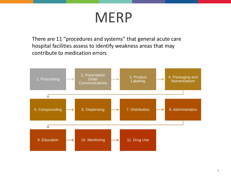# MERP

There are 11 "procedures and systems" that general acute care hospital facilities assess to identify weakness areas that may contribute to medication errors

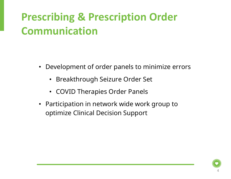## **Prescribing & Prescription Order Communication**

- Development of order panels to minimize errors
	- Breakthrough Seizure Order Set
	- COVID Therapies Order Panels
- Participation in network wide work group to optimize Clinical Decision Support

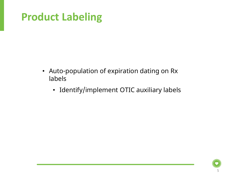#### **Product Labeling**

- Auto-population of expiration dating on Rx labels
	- Identify/implement OTIC auxiliary labels

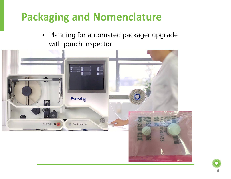### **Packaging and Nomenclature**

• Planning for automated packager upgrade with pouch inspector



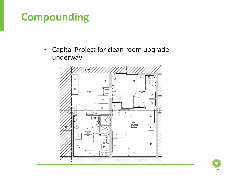#### **Compounding**

• Capital Project for clean room upgrade underway

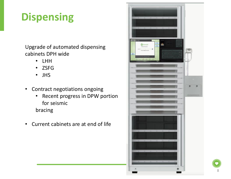### **Dispensing**

Upgrade of automated dispensing cabinets DPH wide

- LHH
- ZSFG
- JHS
- Contract negotiations ongoing
	- Recent progress in DPW portion for seismic

bracing

• Current cabinets are at end of life



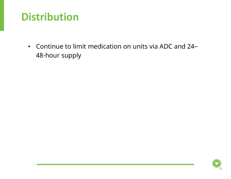#### **Distribution**

• Continue to limit medication on units via ADC and 24– 48-hour supply

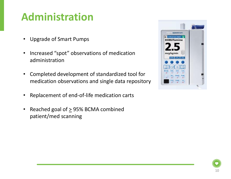#### **Administration**

- Upgrade of Smart Pumps
- Increased "spot" observations of medication administration
- Completed development of standardized tool for medication observations and single data repository
- Replacement of end-of-life medication carts
- Reached goal of  $\geq$  95% BCMA combined patient/med scanning



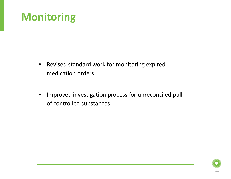#### **Monitoring**

- Revised standard work for monitoring expired medication orders
- Improved investigation process for unreconciled pull of controlled substances

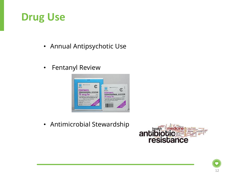#### **Drug Use**

- Annual Antipsychotic Use
- Fentanyl Review



• Antimicrobial Stewardship



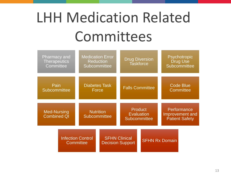# LHH Medication Related Committees

| <b>Pharmacy and</b><br><b>Therapeutics</b><br>Committee |                                       | <b>Medication Error</b><br><b>Reduction</b><br>Subcommittee |                                                 | <b>Drug Diversion</b><br><b>Taskforce</b>                  |                       | Psychotropic<br><b>Drug Use</b><br><b>Subcommittee</b>  |  |
|---------------------------------------------------------|---------------------------------------|-------------------------------------------------------------|-------------------------------------------------|------------------------------------------------------------|-----------------------|---------------------------------------------------------|--|
| Pain<br><b>Subcommittee</b>                             |                                       | <b>Diabetes Task</b><br>Force                               |                                                 | <b>Falls Committee</b>                                     |                       | <b>Code Blue</b><br><b>Committee</b>                    |  |
| <b>Med-Nursing</b><br><b>Combined QI</b>                |                                       | <b>Nutrition</b><br>Subcommittee                            |                                                 | <b>Product</b><br><b>Evaluation</b><br><b>Subcommittee</b> |                       | Performance<br>Improvement and<br><b>Patient Safety</b> |  |
|                                                         | <b>Infection Control</b><br>Committee |                                                             | <b>SFHN Clinical</b><br><b>Decision Support</b> |                                                            | <b>SFHN Rx Domain</b> |                                                         |  |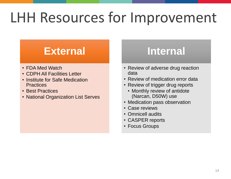# LHH Resources for Improvement

#### **External**

- FDA Med Watch
- CDPH All Facilities Letter
- Institute for Safe Medication **Practices**
- Best Practices
- National Organization List Serves

#### **Internal**

- Review of adverse drug reaction data
- Review of medication error data
- Review of trigger drug reports
	- Monthly review of antidote (Narcan, D50W) use
- Medication pass observation
- Case reviews
- Omnicell audits
- CASPER reports
- Focus Groups